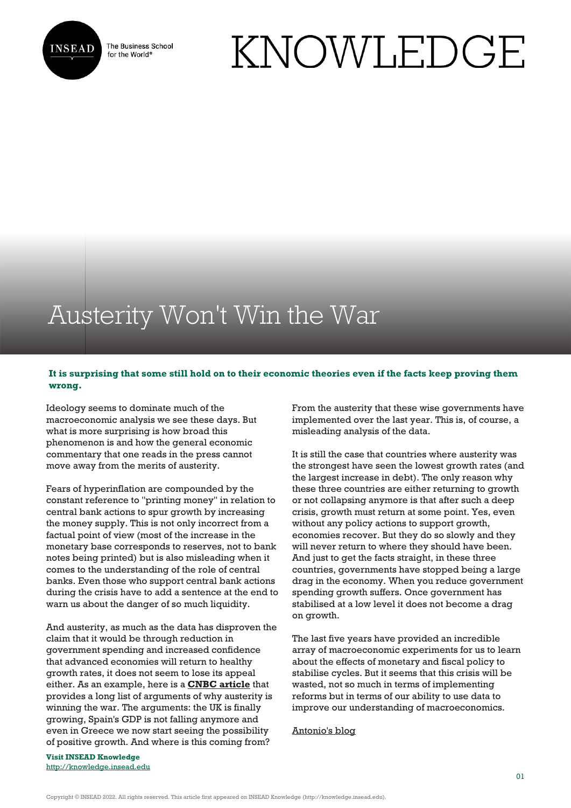

The Business School for the World<sup>®</sup>

## KNOWLEDGE

## Austerity Won't Win the War

## **It is surprising that some still hold on to their economic theories even if the facts keep proving them wrong.**

Ideology seems to dominate much of the macroeconomic analysis we see these days. But what is more surprising is how broad this phenomenon is and how the general economic commentary that one reads in the press cannot move away from the merits of austerity.

Fears of hyperinflation are compounded by the constant reference to "printing money" in relation to central bank actions to spur growth by increasing the money supply. This is not only incorrect from a factual point of view (most of the increase in the monetary base corresponds to reserves, not to bank notes being printed) but is also misleading when it comes to the understanding of the role of central banks. Even those who support central bank actions during the crisis have to add a sentence at the end to warn us about the danger of so much liquidity.

And austerity, as much as the data has disproven the claim that it would be through reduction in government spending and increased confidence that advanced economies will return to healthy growth rates, it does not seem to lose its appeal either. As an example, here is a **[CNBC article](http://www.cnbc.com/id/101250267)** that provides a long list of arguments of why austerity is winning the war. The arguments: the UK is finally growing, Spain's GDP is not falling anymore and even in Greece we now start seeing the possibility of positive growth. And where is this coming from?

**Visit INSEAD Knowledge** <http://knowledge.insead.edu> From the austerity that these wise governments have implemented over the last year. This is, of course, a misleading analysis of the data.

It is still the case that countries where austerity was the strongest have seen the lowest growth rates (and the largest increase in debt). The only reason why these three countries are either returning to growth or not collapsing anymore is that after such a deep crisis, growth must return at some point. Yes, even without any policy actions to support growth, economies recover. But they do so slowly and they will never return to where they should have been. And just to get the facts straight, in these three countries, governments have stopped being a large drag in the economy. When you reduce government spending growth suffers. Once government has stabilised at a low level it does not become a drag on growth.

The last five years have provided an incredible array of macroeconomic experiments for us to learn about the effects of monetary and fiscal policy to stabilise cycles. But it seems that this crisis will be wasted, not so much in terms of implementing reforms but in terms of our ability to use data to improve our understanding of macroeconomics.

[Antonio's blog](http://fatasmihov.blogspot.sg/)